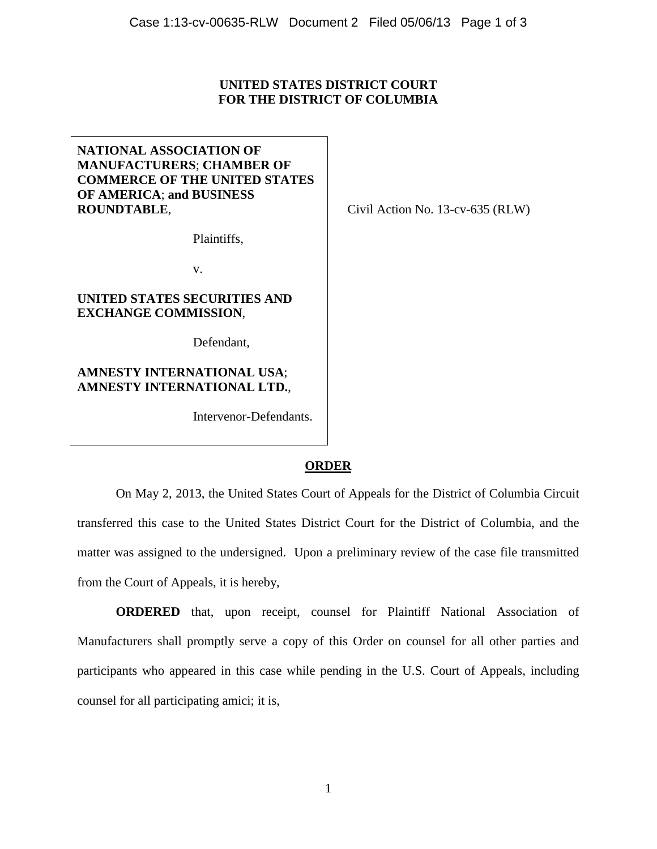# **UNITED STATES DISTRICT COURT FOR THE DISTRICT OF COLUMBIA**

**NATIONAL ASSOCIATION OF MANUFACTURERS**; **CHAMBER OF COMMERCE OF THE UNITED STATES OF AMERICA**; **and BUSINESS ROUNDTABLE**,

Civil Action No. 13-cv-635 (RLW)

Plaintiffs,

v.

#### **UNITED STATES SECURITIES AND EXCHANGE COMMISSION**,

Defendant,

# **AMNESTY INTERNATIONAL USA**; **AMNESTY INTERNATIONAL LTD.**,

Intervenor-Defendants.

### **ORDER**

On May 2, 2013, the United States Court of Appeals for the District of Columbia Circuit transferred this case to the United States District Court for the District of Columbia, and the matter was assigned to the undersigned. Upon a preliminary review of the case file transmitted from the Court of Appeals, it is hereby,

**ORDERED** that, upon receipt, counsel for Plaintiff National Association of Manufacturers shall promptly serve a copy of this Order on counsel for all other parties and participants who appeared in this case while pending in the U.S. Court of Appeals, including counsel for all participating amici; it is,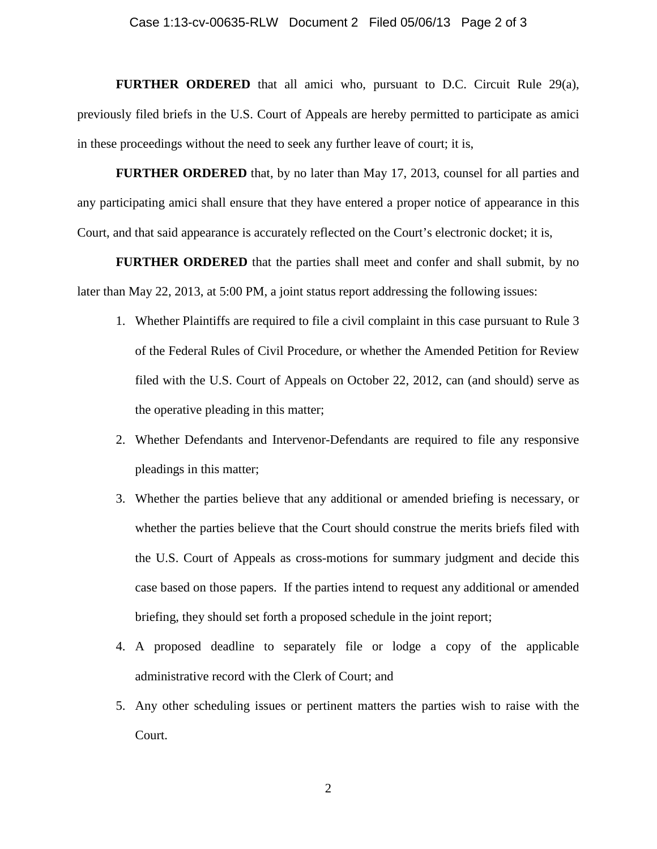#### Case 1:13-cv-00635-RLW Document 2 Filed 05/06/13 Page 2 of 3

**FURTHER ORDERED** that all amici who, pursuant to D.C. Circuit Rule 29(a), previously filed briefs in the U.S. Court of Appeals are hereby permitted to participate as amici in these proceedings without the need to seek any further leave of court; it is,

**FURTHER ORDERED** that, by no later than May 17, 2013, counsel for all parties and any participating amici shall ensure that they have entered a proper notice of appearance in this Court, and that said appearance is accurately reflected on the Court's electronic docket; it is,

**FURTHER ORDERED** that the parties shall meet and confer and shall submit, by no later than May 22, 2013, at 5:00 PM, a joint status report addressing the following issues:

- 1. Whether Plaintiffs are required to file a civil complaint in this case pursuant to Rule 3 of the Federal Rules of Civil Procedure, or whether the Amended Petition for Review filed with the U.S. Court of Appeals on October 22, 2012, can (and should) serve as the operative pleading in this matter;
- 2. Whether Defendants and Intervenor-Defendants are required to file any responsive pleadings in this matter;
- 3. Whether the parties believe that any additional or amended briefing is necessary, or whether the parties believe that the Court should construe the merits briefs filed with the U.S. Court of Appeals as cross-motions for summary judgment and decide this case based on those papers. If the parties intend to request any additional or amended briefing, they should set forth a proposed schedule in the joint report;
- 4. A proposed deadline to separately file or lodge a copy of the applicable administrative record with the Clerk of Court; and
- 5. Any other scheduling issues or pertinent matters the parties wish to raise with the Court.

2